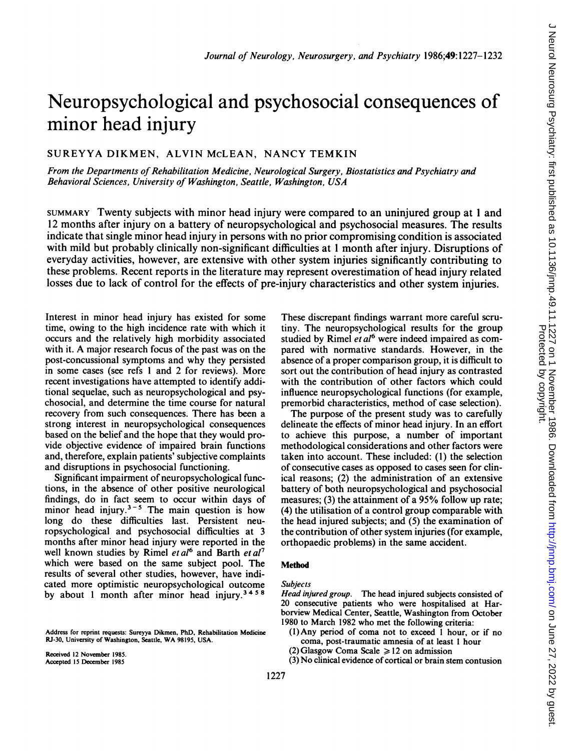# Neuropsychological and psychosocial consequences of minor head injury

# SUREYYA DIKMEN, ALVIN McLEAN, NANCY TEMKIN

From the Departments of Rehabilitation Medicine, Neurological Surgery, Biostatistics and Psychiatry and Behavioral Sciences, University of Washington, Seattle, Washington, USA

SUMMARY Twenty subjects with minor head injury were compared to an uninjured group at <sup>1</sup> and 12 months after injury on a battery of neuropsychological and psychosocial measures. The results indicate that single minor head injury in persons with no prior compromising condition is associated with mild but probably clinically non-significant difficulties at <sup>1</sup> month after injury. Disruptions of everyday activities, however, are extensive with other system injuries significantly contributing to these problems. Recent reports in the literature may represent overestimation of head injury related losses due to lack of control for the effects of pre-injury characteristics and other system injuries.

Interest in minor head injury has existed for some time, owing to the high incidence rate with which it occurs and the relatively high morbidity associated with it. A major research focus of the past was on the post-concussional symptoms and why they persisted in some cases (see refs <sup>I</sup> and 2 for reviews). More recent investigations have attempted to identify additional sequelae, such as neuropsychological and psychosocial, and determine the time course for natural recovery from such consequences. There has been a strong interest in neuropsychological consequences based on the belief and the hope that they would provide objective evidence of impaired brain functions and, therefore, explain patients' subjective complaints and disruptions in psychosocial functioning.

Significant impairment of neuropsychological functions, in the absence of other positive neurological findings, do in fact seem to occur within days of minor head injury.<sup>3-5</sup> The main question is how long do these difficulties last. Persistent neuropsychological and psychosocial difficulties at 3 months after minor head injury were reported in the well known studies by Rimel et  $al^6$  and Barth et  $al^7$ which were based on the same subject pool. The results of several other studies, however, have indicated more optimistic neuropsychological outcome by about 1 month after minor head injury.<sup>3458</sup>

Address for reprint requests: Sureyya Dikmen, PhD, Rehabilitation Medicine RJ-30, University of Washington, Seattle, WA 98195, USA.

Received 12 November 1985. Accepted 15 December 1985

These discrepant findings warrant more careful scrutiny. The neuropsychological results for the group studied by Rimel et  $al<sup>6</sup>$  were indeed impaired as compared with normative standards. However, in the absence of a proper comparison group, it is difficult to sort out the contribution of head injury as contrasted with the contribution of other factors which could influence neuropsychological functions (for example, premorbid characteristics, method of case selection).

The purpose of the present study was to carefully delineate the effects of minor head injury. In an effort to achieve this purpose, a number of important methodological considerations and other factors were taken into account. These included: (1) the selection of consecutive cases as opposed to cases seen for clinical reasons; (2) the administration of an extensive battery of both neuropsychological and psychosocial measures; (3) the attainment of a 95% follow up rate; (4) the utilisation of a control group comparable with the head injured subjects; and (5) the examination of the contribution of other system injuries (for example, orthopaedic problems) in the same accident.

#### Method

# Subjects

Head injured group. The head injured subjects consisted of 20 consecutive patients who were hospitalised at Harborview Medical Center, Seattle, Washington from October 1980 to March 1982 who met the following criteria:

- (1) Any period of coma not to exceed <sup>1</sup> hour, or if no coma, post-traumatic amnesia of at least <sup>1</sup> hour
- (2) Glasgow Coma Scale  $\geq 12$  on admission
- (3) No clinical evidence of cortical or brain stem contusion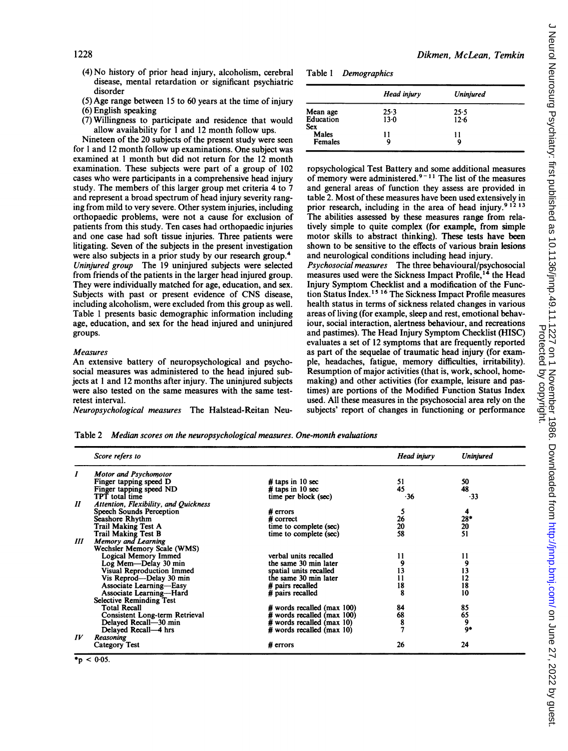- (4) No history of prior head injury, alcoholism, cerebral disease, mental retardation or significant psychiatric disorder
- (5) Age range between 15 to 60 years at the time of injury

(6) English speaking

(7) Willingness to participate and residence that would allow availability for <sup>1</sup> and 12 month follow ups.

Nineteen of the 20 subjects of the present study were seen for <sup>1</sup> and 12 month follow up examinations. One subject was examined at <sup>1</sup> month but did not return for the 12 month examination. These subjects were part of a group of 102 cases who were participants in a comprehensive head injury study. The members of this larger group met criteria 4 to 7 and represent a broad spectrum of head injury severity ranging from mild to very severe. Other system injuries, including orthopaedic problems, were not a cause for exclusion of patients from this study. Ten cases had orthopaedic injuries and one case had soft tissue injuries. Three patients were litigating. Seven of the subjects in the present investigation were also subjects in a prior study by our research group.<sup>4</sup> Uninjured group The 19 uninjured subjects were selected from friends of the patients in the larger head injured group. They were individually matched for age, education, and sex. Subjects with past or present evidence of CNS disease, including alcoholism, were excluded from this group as well. Table <sup>1</sup> presents basic demographic information including age, education, and sex for the head injured and uninjured groups.

#### Measures

An extensive battery of neuropsychological and psychosocial measures was administered to the head injured subjects at <sup>1</sup> and 12 months after injury. The uninjured subjects were also tested on the same measures with the same testretest interval.

Neuropsychological measures The Halstead-Reitan Neu-

Table <sup>1</sup> Demographics

|                       | Head injury | Uninjured |
|-----------------------|-------------|-----------|
| Mean age<br>Education | $25-3$      | 25.5      |
| Sex                   | $13-0$      | $12-6$    |
| Males                 | 11          | 11        |
| Females               |             | q         |

Dikmen, McLean, Temkin

ropsychological Test Battery and some additional measures of memory were administered.<sup>9-11</sup> The list of the measures and general areas of function they assess are provided in table 2. Most of these measures have been used extensively in prior research, including in the area of head injury.<sup>9 12 13</sup> The abilities assessed by these measures range from relatively simple to quite complex (for example, from simple motor skills to abstract thinking). These tests have been shown to be sensitive to the effects of various brain lesions and neurological conditions including head injury. Psychosocial measures The three behavioural/psychosocial measures used were the Sickness Impact Profile,"4 the Head Injury Symptom Checklist and a modification of the Function Status Index.<sup>15 16</sup> The Sickness Impact Profile measures health status in terms of sickness related changes in various areas of living (for example, sleep and rest, emotional behaviour, social interaction, alertness behaviour, and recreations and pastimes). The Head Injury Symptom Checklist (HISC) evaluates a set of 12 symptoms that are frequently reported as part of the sequelae of traumatic head injury (for example, headaches, fatigue, memory difficulties, irritability). Resumption of major activities (that is, work, school, homemaking) and other activities (for example, leisure and pastimes) are portions of the Modified Function Status Index used. All these measures in the psychosocial area rely on the subjects' report of changes in functioning or performance

Table 2 Median scores on the neuropsychological measures. One-month evaluations

|                            | Score refers to                       |                            | Head injury | Uniniured             |
|----------------------------|---------------------------------------|----------------------------|-------------|-----------------------|
| I                          | Motor and Psychomotor                 |                            |             |                       |
|                            | Finger tapping speed D                | $#$ taps in 10 sec         | 51          | 50                    |
|                            | Finger tapping speed ND               | # taps in $10$ sec         | 45          | 48                    |
|                            | TPT total time                        | time per block (sec)       | $-36$       | $-33$                 |
| $\boldsymbol{\mathit{II}}$ | Attention, Flexibility, and Quickness |                            |             |                       |
|                            | <b>Speech Sounds Perception</b>       | $#$ errors                 |             | 4                     |
|                            | Seashore Rhythm                       | $#$ correct                | 26          |                       |
|                            | <b>Trail Making Test A</b>            | time to complete (sec)     | 20          |                       |
|                            | <b>Trail Making Test B</b>            | time to complete (sec)     | 58          | $\frac{28}{20}$<br>51 |
| Ш                          | Memory and Learning                   |                            |             |                       |
|                            | Wechsler Memory Scale (WMS)           |                            |             |                       |
|                            | Logical Memory Immed                  | verbal units recalled      | 11          | 11                    |
|                            | Log Mem-Delay 30 min                  | the same 30 min later      | 9           | 9                     |
|                            | Visual Reproduction Immed             | spatial units recalled     | 13          |                       |
|                            | Vis Reprod-Delay 30 min               | the same 30 min later      | 11          | $\frac{13}{12}$       |
|                            | <b>Associate Learning-Easy</b>        | # pairs recalled           | 18          |                       |
|                            | Associate Learning--Hard              | # pairs recalled           | 8           | 10                    |
|                            | <b>Selective Reminding Test</b>       |                            |             |                       |
|                            | Total Recall                          | # words recalled (max 100) | 84          | 85                    |
|                            | Consistent Long-term Retrieval        | # words recalled (max 100) | 68          | 65                    |
|                            | Delayed Recall-30 min                 | # words recalled (max 10)  | 8           | 9                     |
|                            | Delayed Recall-4 hrs                  | # words recalled (max 10)  |             | 9*                    |
| $I\dot{V}$                 | Reasoning                             |                            |             |                       |
|                            | <b>Category Test</b>                  | $#$ errors                 | 26          | 24                    |

 $p < 0.05$ .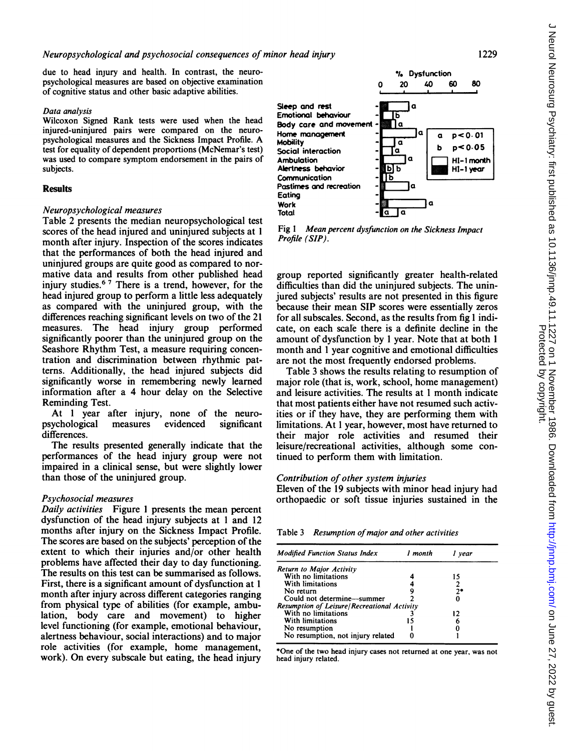due to head injury and health. In contrast, the neuropsychological measures are based on objective examination of cognitive status and other basic adaptive abilities.

## Data analysis

Wilcoxon Signed Rank tests were used when the head injured-uninjured pairs were compared on the neuropsychological measures and the Sickness Impact Profile. A test for equality of dependent proportions (McNemar's test) was used to compare symptom endorsement in the pairs of subjects.

# Results

## Neuropsychological measures

Table 2 presents the median neuropsychological test scores of the head injured and uninjured subjects at <sup>I</sup> month after injury. Inspection of the scores indicates that the performances of both the head injured and uninjured groups are quite good as compared to normative data and results from other published head injury studies.<sup>6 7</sup> There is a trend, however, for the head injured group to perform a little less adequately as compared with the uninjured group, with the differences reaching significant levels on two of the 21 measures. The head injury group performed significantly poorer than the uninjured group on the Seashore Rhythm Test, a measure requiring concentration and discrimination between rhythmic patterns. Additionally, the head injured subjects did significantly worse in remembering newly learned information after a 4 hour delay on the Selective Reminding Test.

At <sup>1</sup> year after injury, none of the neuropsychological measures evidenced significant differences.

The results presented generally indicate that the performances of the head injury group were not impaired in a clinical sense, but were slightly lower than those of the uninjured group.

## Psychosocial measures

Daily activities Figure <sup>I</sup> presents the mean percent dysfunction of the head injury subjects at <sup>1</sup> and 12 months after injury on the Sickness Impact Profile. The scores are based on the subjects' perception of the extent to which their injuries and/or other health problems have affected their day to day functioning. The results on this test can be summarised as follows. First, there is a significant amount of dysfunction at <sup>1</sup> month after injury across different categories ranging from physical type of abilities (for example, ambulation, body care and movement) to higher level functioning (for example, emotional behaviour, alertness behaviour, social interactions) and to major role activities (for example, home management, work). On every subscale but eating, the head injury



Fig <sup>1</sup> Mean percent dysfunction on the Sickness Impact Profile (SIP).

group reported significantly greater health-related difficulties than did the uninjured subjects. The uninjured subjects' results are not presented in this figure because their mean SIP scores were essentially zeros for all subscales. Second, as the results from fig <sup>1</sup> indicate, on each scale there is a definite decline in the amount of dysfunction by <sup>1</sup> year. Note that at both <sup>1</sup> month and <sup>1</sup> year cognitive and emotional difficulties are not the most frequently endorsed problems.

Table 3 shows the results relating to resumption of major role (that is, work, school, home management) and leisure activities. The results at <sup>1</sup> month indicate that most patients either have not resumed such activities or if they have, they are performing them with limitations. At <sup>1</sup> year, however, most have returned to their major role activities and resumed their leisure/recreational activities, although some continued to perform them with limitation.

## Contribution of other system injuries

Eleven of the 19 subjects with minor head injury had orthopaedic or soft tissue injuries sustained in the

Table 3 Resumption of major and other activities

| <b>Modified Function Status Index</b>       | 1 month | vear |
|---------------------------------------------|---------|------|
| Return to Major Activity                    |         |      |
| With no limitations                         |         | 15   |
| With limitations                            |         |      |
| No return                                   |         | 71   |
| Could not determine-summer                  |         |      |
| Resumption of Leisure/Recreational Activity |         |      |
| With no limitations                         |         | 12   |
| With limitations                            | 15      |      |
| No resumption                               |         |      |
| No resumption, not injury related           |         |      |

\*One of the two head injury cases not returned at one year, was not head injury related.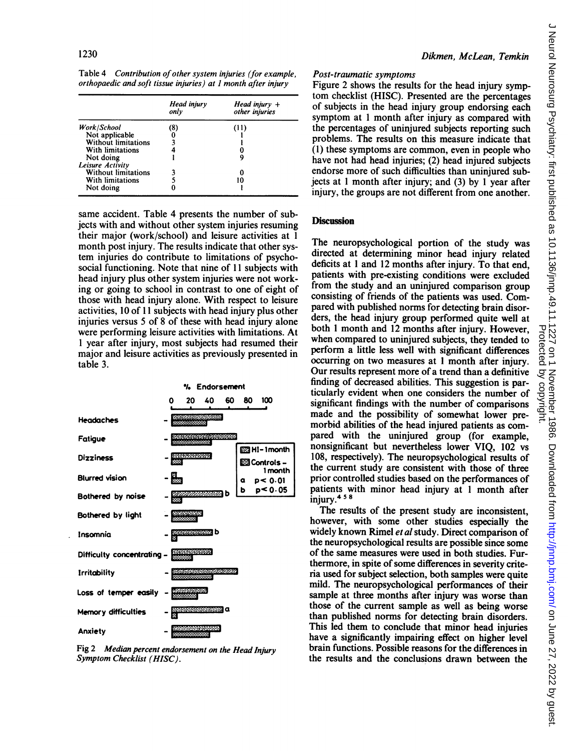Table 4 Contribution of other system injuries (for example, orthopaedic and soft tissue injuries) at <sup>1</sup> month after injury

|                            | Head injury<br>only | Head injury $+$<br>other injuries |
|----------------------------|---------------------|-----------------------------------|
| Work/School                | (8)                 | (11)                              |
| Not applicable             |                     |                                   |
| <b>Without limitations</b> |                     |                                   |
| With limitations           |                     |                                   |
| Not doing                  |                     | y                                 |
| Leisure Activity           |                     |                                   |
| Without limitations        |                     |                                   |
| With limitations           |                     |                                   |
| Not doing                  |                     |                                   |

same accident. Table 4 presents the number of subjects with and without other system injuries resuming their major (work/school) and leisure activities at <sup>1</sup> month post injury. The results indicate that other system injuries do contribute to limitations of psychosocial functioning. Note that nine of <sup>11</sup> subjects with head injury plus other system injuries were not working or going to school in contrast to one of eight of those with head injury alone. With respect to leisure activities, 10 of 11 subjects with head injury plus other injuries versus 5 of 8 of these with head injury alone were performing leisure activities with limitations. At <sup>1</sup> year after injury, most subjects had resumed their major and leisure activities as previously presented in table 3.



Fig 2 Median percent endorsement on the Head Injury Symptom Checklist (HISC).

## Post-traumatic symptoms

Figure 2 shows the results for the head injury symptom checklist (HISC). Presented are the percentages of subjects in the head injury group endorsing each symptom at <sup>1</sup> month after injury as compared with the percentages of uninjured subjects reporting such problems. The results on this measure indicate that (1) these symptoms are common, even in people who have not had head injuries; (2) head injured subjects endorse more of such difficulties than uninjured subjects at <sup>1</sup> month after injury; and (3) by <sup>1</sup> year after injury, the groups are not different from one another.

# **Discussion**

The neuropsychological portion of the study was directed at determining minor head injury related deficits at <sup>1</sup> and 12 months after injury. To that end, patients with pre-existing conditions were excluded from the study and an uninjured comparison group consisting of friends of the patients was used. Compared with published norms for detecting brain disorders, the head injury group performed quite well at both <sup>1</sup> month and <sup>12</sup> months after injury. However, when compared to uninjured subjects, they tended to perform a little less well with significant differences occurring on two measures at <sup>1</sup> month after injury. Our results represent more of a trend than a definitive finding of decreased abilities. This suggestion is particularly evident when one considers the number of significant findings with the number of comparisons made and the possibility of somewhat lower premorbid abilities of the head injured patients as compared with the uninjured group (for example, nonsignificant but nevertheless lower VIQ, 102 vs 108, respectively). The neuropsychological results of the current study are consistent with those of three prior controlled studies based on the performances of patients with minor head injury at <sup>1</sup> month after injury.<sup>458</sup>

The results of the present study are inconsistent, however, with some other studies especially the widely known Rimel et al study. Direct comparison of the neuropsychological results are possible since some of the same measures were used in both studies. Furthermore, in spite of some differences in severity criteria used for subject selection, both samples were quite mild. The neuropsychological performances of their sample at three months after injury was worse than those of the current sample as well as being worse than published norms for detecting brain disorders. This led them to conclude that minor head injuries have a significantly impairing effect on higher level brain functions. Possible reasons for the differences in the results and the conclusions drawn between the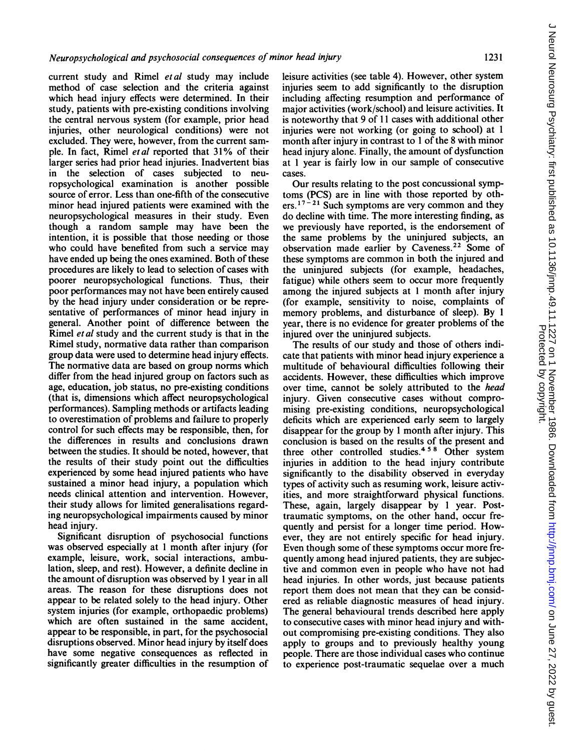current study and Rimel et al study may include method of case selection and the criteria against which head injury effects were determined. In their study, patients with pre-existing conditions involving the central nervous system (for example, prior head injuries, other neurological conditions) were not excluded. They were, however, from the current sample. In fact, Rimel etal reported that 31% of their larger series had prior head injuries. Inadvertent bias in the selection of cases subjected to neuropsychological examination is another possible source of error. Less than one-fifth of the consecutive minor head injured patients were examined with the neuropsychological measures in their study. Even though a random sample may have been the intention, it is possible that those needing or those who could have benefited from such a service may have ended up being the ones examined. Both of these procedures are likely to lead to selection of cases with poorer neuropsychological functions. Thus, their poor performances may not have been entirely caused by the head injury under consideration or be representative of performances of minor head injury in general. Another point of difference between the Rimel *et al* study and the current study is that in the Rimel study, normative data rather than comparison group data were used to determine head injury effects. The normative data are based on group norms which differ from the head injured group on factors such as age, education, job status, no pre-existing conditions (that is, dimensions which affect neuropsychological performances). Sampling methods or artifacts leading to overestimation of problems and failure to properly control for such effects may be responsible, then, for the differences in results and conclusions drawn between the studies. It should be noted, however, that the results of their study point out the difficulties experienced by some head injured patients who have sustained a minor head injury, a population which needs clinical attention and intervention. However, their study allows for limited generalisations regarding neuropsychological impairments caused by minor head injury.

Significant disruption of psychosocial functions was observed especially at <sup>1</sup> month after injury (for example, leisure, work, social interactions, ambulation, sleep, and rest). However, a definite decline in the amount of disruption was observed by <sup>I</sup> year in all areas. The reason for these disruptions does not appear to be related solely to the head injury. Other system injuries (for example, orthopaedic problems) which are often sustained in the same accident, appear to be responsible, in part, for the psychosocial disruptions observed. Minor head injury by itself does have some negative consequences as reflected in significantly greater difficulties in the resumption of leisure activities (see table 4). However, other system injuries seem to add significantly to the disruption including affecting resumption and performance of major activities (work/school) and leisure activities. It is noteworthy that 9 of 11 cases with additional other injuries were not working (or going to school) at 1 month after injury in contrast to <sup>1</sup> of the 8 with minor head injury alone. Finally, the amount of dysfunction at <sup>1</sup> year is fairly low in our sample of consecutive cases.

Our results relating to the post concussional symptoms (PCS) are in line with those reported by others.<sup>17-21</sup> Such symptoms are very common and they do decline with time. The more interesting finding, as we previously have reported, is the endorsement of the same problems by the uninjured subjects, an observation made earlier by Caveness.22 Some of these symptoms are common in both the injured and the uninjured subjects (for example, headaches, fatigue) while others seem to occur more frequently among the injured subjects at <sup>1</sup> month after injury (for example, sensitivity to noise, complaints of memory problems, and disturbance of sleep). By <sup>I</sup> year, there is no evidence for greater problems of the injured over the uninjured subjects.

The results of our study and those of others indicate that patients with minor head injury experience a multitude of behavioural difficulties following their accidents. However, these difficulties which improve over time, cannot be solely attributed to the head injury. Given consecutive cases without compromising pre-existing conditions, neuropsychological deficits which are experienced early seem to largely disappear for the group by <sup>1</sup> month after injury. This conclusion is based on the results of the present and three other controlled studies.<sup>458</sup> Other system injuries in addition to the head injury contribute significantly to the disability observed in everyday types of activity such as resuming work, leisure activities, and more straightforward physical functions. These, again, largely disappear by <sup>1</sup> year. Posttraumatic symptoms, on the other hand, occur frequently and persist for a longer time period. However, they are not entirely specific for head injury. Even though some of these symptoms occur more frequently among head injured patients, they are subjective and common even in people who have not had head injuries. In other words, just because patients report them does not mean that they can be considered as reliable diagnostic measures of head injury. The general behavioural trends described here apply to consecutive cases with minor head injury and without compromising pre-existing conditions. They also apply to groups and to previously healthy young people. There are those individual cases who continue to experience post-traumatic sequelae over a much